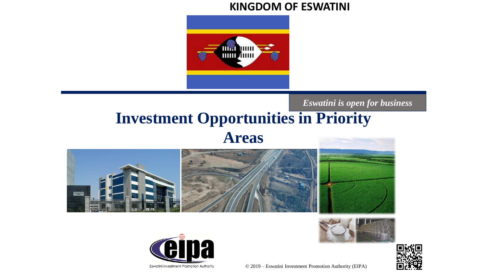#### **KINGDOM OF ESWATINI**



#### *Eswatini is open for business*

### **Investment Opportunities in Priority Areas**









© 2019 – Eswatini Investment Promotion Authority (EIPA)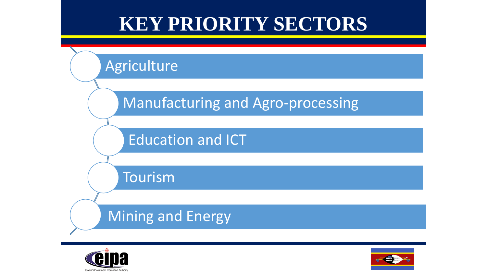## **KEY PRIORITY SECTORS**





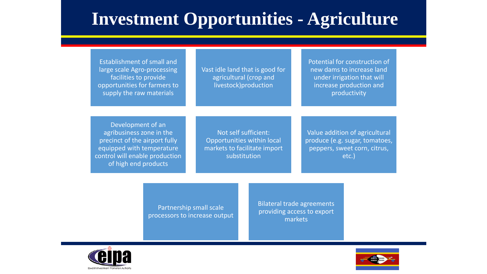### **Investment Opportunities - Agriculture**

| <b>Establishment of small and</b><br>large scale Agro-processing<br>facilities to provide<br>opportunities for farmers to<br>supply the raw materials                 | Vast idle land that is good for<br>agricultural (crop and<br>livestock)production                  | Potential for construction of<br>new dams to increase land<br>under irrigation that will<br>increase production and<br>productivity |
|-----------------------------------------------------------------------------------------------------------------------------------------------------------------------|----------------------------------------------------------------------------------------------------|-------------------------------------------------------------------------------------------------------------------------------------|
|                                                                                                                                                                       |                                                                                                    |                                                                                                                                     |
| Development of an<br>agribusiness zone in the<br>precinct of the airport fully<br>equipped with temperature<br>control will enable production<br>of high end products | Not self sufficient:<br>Opportunities within local<br>markets to facilitate import<br>substitution | Value addition of agricultural<br>produce (e.g. sugar, tomatoes,<br>peppers, sweet corn, citrus,<br>etc.)                           |

Partnership small scale processors to increase output Bilateral trade agreements providing access to export markets



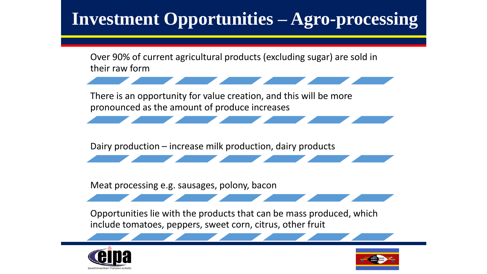## **Investment Opportunities – Agro-processing**

Over 90% of current agricultural products (excluding sugar) are sold in their raw form There is an opportunity for value creation, and this will be more pronounced as the amount of produce increases Dairy production – increase milk production, dairy products Meat processing e.g. sausages, polony, bacon Opportunities lie with the products that can be mass produced, which include tomatoes, peppers, sweet corn, citrus, other fruit



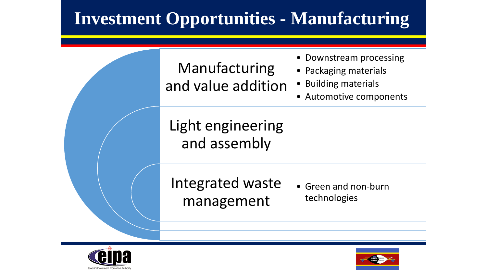### **Investment Opportunities - Manufacturing**





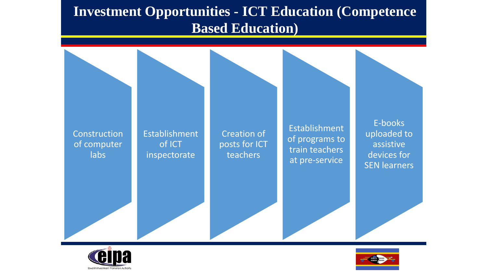#### **Investment Opportunities - ICT Education (Competence Based Education)**





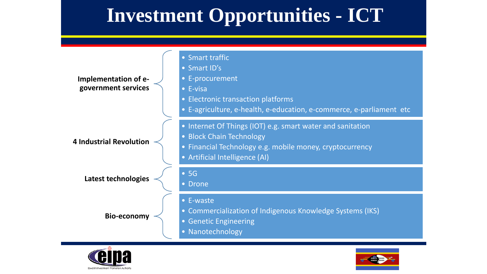# **Investment Opportunities - ICT**





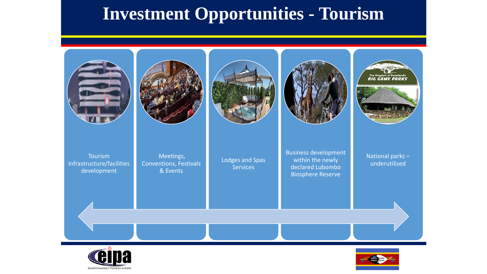### **Investment Opportunities - Tourism**





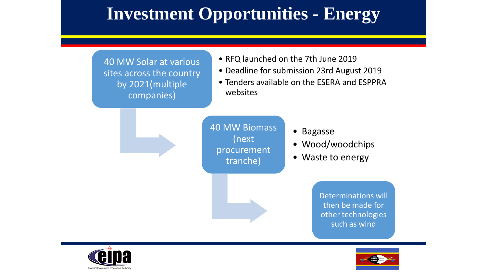### **Investment Opportunities - Energy**

40 MW Solar at various sites across the country by 2021(multiple companies)

- IW Solar at various  **RFQ launched on the 7th June 2019** 
	- Deadline for submission 23rd August 2019
	- Tenders available on the ESERA and ESPPRA websites



40 MW Biomass (next procurement tranche)

- Bagasse
- Wood/woodchips
- Waste to energy

Determinations will then be made for other technologies such as wind



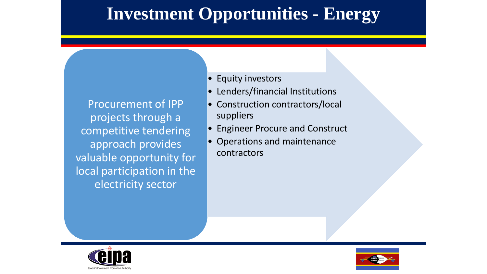### **Investment Opportunities - Energy**

Procurement of IPP projects through a competitive tendering approach provides valuable opportunity for local participation in the electricity sector

• Equity investors

**Opportunities for export exist for the following products:**

- Lenders/financial Institutions
- Construction contractors/local suppliers
- Engineer Procure and Construct
- Operations and maintenance contractors



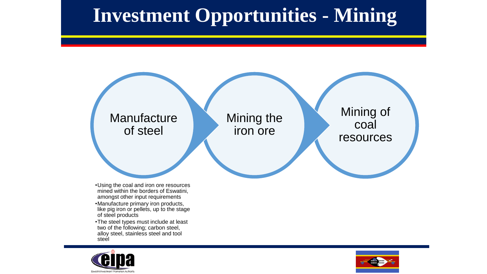# **Investment Opportunities - Mining**